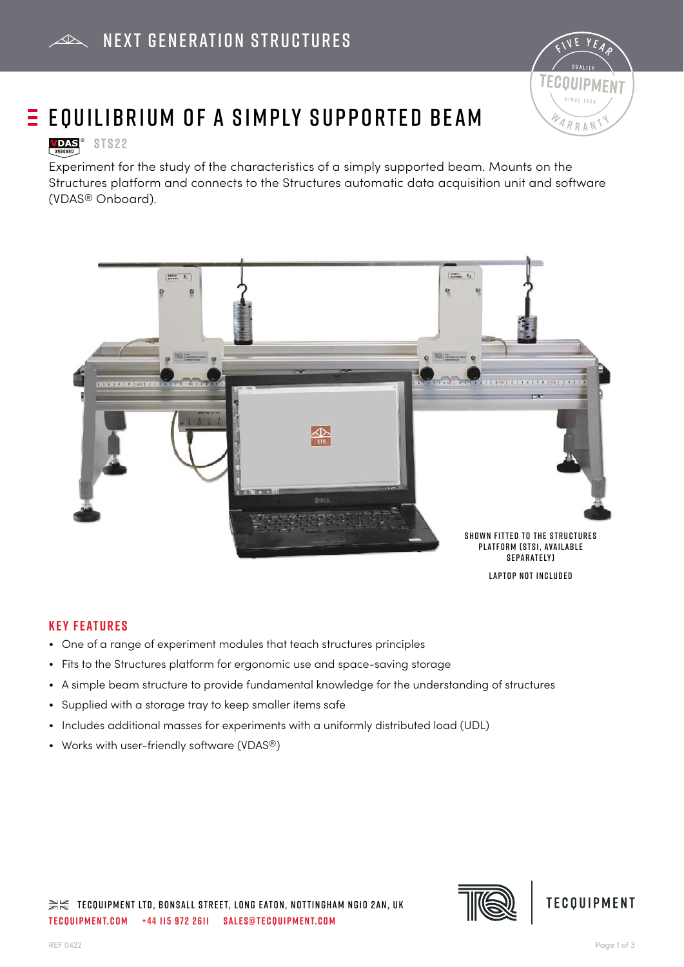

# $\equiv$  EQUILIBRIUM OF A SIMPLY SUPPORTED BEAM

# **VDAS**<sup>®</sup> STS22

Experiment for the study of the characteristics of a simply supported beam. Mounts on the Structures platform and connects to the Structures automatic data acquisition unit and software (VDAS® Onboard).



## **Key Features**

- One of a range of experiment modules that teach structures principles
- Fits to the Structures platform for ergonomic use and space-saving storage
- A simple beam structure to provide fundamental knowledge for the understanding of structures
- Supplied with a storage tray to keep smaller items safe
- Includes additional masses for experiments with a uniformly distributed load (UDL)
- Works with user-friendly software (VDAS®)

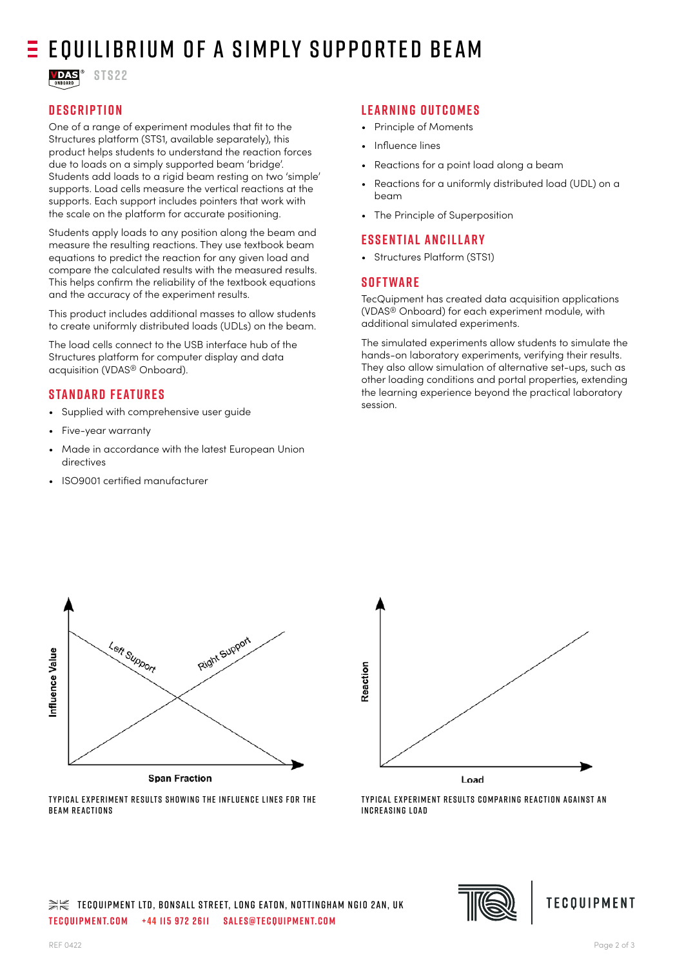# $E$  Equilibrium of a simply supported BEAM

**VDAS**<sup>®</sup> STS22

# **Description**

One of a range of experiment modules that fit to the Structures platform (STS1, available separately), this product helps students to understand the reaction forces due to loads on a simply supported beam 'bridge'. Students add loads to a rigid beam resting on two 'simple' supports. Load cells measure the vertical reactions at the supports. Each support includes pointers that work with the scale on the platform for accurate positioning.

Students apply loads to any position along the beam and measure the resulting reactions. They use textbook beam equations to predict the reaction for any given load and compare the calculated results with the measured results. This helps confirm the reliability of the textbook equations and the accuracy of the experiment results.

This product includes additional masses to allow students to create uniformly distributed loads (UDLs) on the beam.

The load cells connect to the USB interface hub of the Structures platform for computer display and data acquisition (VDAS® Onboard).

## **Standard Features**

- Supplied with comprehensive user quide
- Five-year warranty
- Made in accordance with the latest European Union directives
- ISO9001 certifi ed manufacturer

## **Learning outcomes**

- Principle of Moments
- Influence lines
- Reactions for a point load along a beam
- Reactions for a uniformly distributed load (UDL) on a beam
- The Principle of Superposition

### **Essential Ancillary**

• Structures Platform (STS1)

## **Software**

TecQuipment has created data acquisition applications (VDAS® Onboard) for each experiment module, with additional simulated experiments.

The simulated experiments allow students to simulate the hands-on laboratory experiments, verifying their results. They also allow simulation of alternative set-ups, such as other loading conditions and portal properties, extending the learning experience beyond the practical laboratory session.



**Span Fraction** TYPICAL EXPERIMENT RESULTS SHOWING THE INFLUENCE LINES FOR THE



TYPICAL EXPERIMENT RESULTS COMPARING REACTION AGAINST AN INCREASING LOAD



B FAM R FACTIONS